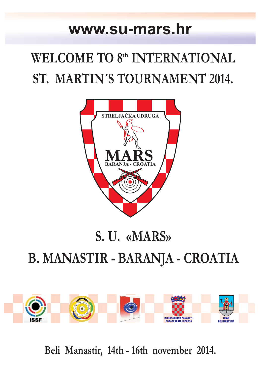## **www.su-mars.hr**

# **WELCOME TO 8th INTERNATIONAL ST. MARTIN´S TOURNAMENT 2014.**



## **S. U. «MARS» B. MANASTIR - BARANJA - CROATIA**



**Beli Manastir, 14th - 16th november 2014.**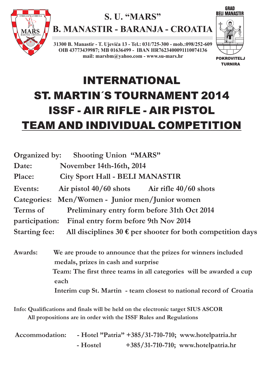

### **S. U. "MARS"**

**B. MANASTIR - BARANJA - CROATIA**

**31300 B. Manastir - T. Ujevića 13 - Tel.: 031/725-300 - mob.:098/252-609 OIB 43773439987; MB 01636499 - IBAN HR7623400091110074136 mail: marsbm@yahoo.com - www.su-mars.hr**



## INTERNATIONAL ST. MARTIN´S TOURNAMENT 2014 ISSF - AIR RIFLE - AIR PISTOL TEAM AND INDIVIDUAL COMPETITION

**Interim cup St. Martin - team closest to national record of Croatia**

**Info: Qualifications and finals will be held on the electronic target SIUS ASCOR All propositions are in order with the ISSF Rules and Regulations**

| Accommodation: |          | - Hotel "Patria" +385/31-710-710; www.hotelpatria.hr |
|----------------|----------|------------------------------------------------------|
|                | - Hostel | +385/31-710-710; www.hotelpatria.hr                  |